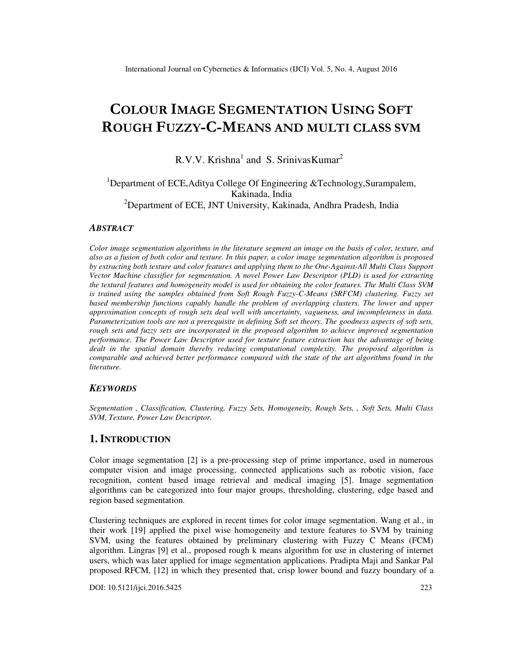# **COLOUR IMAGE SEGMENTATION USING SOFT ROUGH FUZZY-C-MEANS AND MULTI CLASS SVM**

R.V.V. Krishna<sup>1</sup> and S. SrinivasKumar<sup>2</sup>

# <sup>1</sup>Department of ECE, Aditya College Of Engineering & Technology, Surampalem, Kakinada, India <sup>2</sup>Department of ECE, JNT University, Kakinada, Andhra Pradesh, India

#### *ABSTRACT*

*Color image segmentation algorithms in the literature segment an image on the basis of color, texture, and also as a fusion of both color and texture. In this paper, a color image segmentation algorithm is proposed by extracting both texture and color features and applying them to the One-Against-All Multi Class Support Vector Machine classifier for segmentation. A novel Power Law Descriptor (PLD) is used for extracting the textural features and homogeneity model is used for obtaining the color features. The Multi Class SVM*  is trained using the samples obtained from Soft Rough Fuzzy-C-Means (SRFCM) clustering. Fuzzy set *based membership functions capably handle the problem of overlapping clusters. The lower and upper approximation concepts of rough sets deal well with uncertainty, vagueness, and incompleteness in data. Parameterization tools are not a prerequisite in defining Soft set theory. The goodness aspects of soft sets, rough sets and fuzzy sets are incorporated in the proposed algorithm to achieve improved segmentation performance. The Power Law Descriptor used for texture feature extraction has the advantage of being dealt in the spatial domain thereby reducing computational complexity. The proposed algorithm is comparable and achieved better performance compared with the state of the art algorithms found in the literature.* 

#### *KEYWORDS*

*Segmentation , Classification, Clustering, Fuzzy Sets, Homogeneity, Rough Sets, , Soft Sets, Multi Class SVM, Texture, Power Law Descriptor.* 

## **1. INTRODUCTION**

Color image segmentation [2] is a pre-processing step of prime importance, used in numerous computer vision and image processing, connected applications such as robotic vision, face recognition, content based image retrieval and medical imaging [5]. Image segmentation algorithms can be categorized into four major groups, thresholding, clustering, edge based and region based segmentation.

Clustering techniques are explored in recent times for color image segmentation. Wang et al., in their work [19] applied the pixel wise homogeneity and texture features to SVM by training SVM, using the features obtained by preliminary clustering with Fuzzy C Means (FCM) algorithm. Lingras [9] et al., proposed rough k means algorithm for use in clustering of internet users, which was later applied for image segmentation applications. Pradipta Maji and Sankar Pal proposed RFCM, [12] in which they presented that, crisp lower bound and fuzzy boundary of a

DOI: 10.5121/ijci.2016.5425 223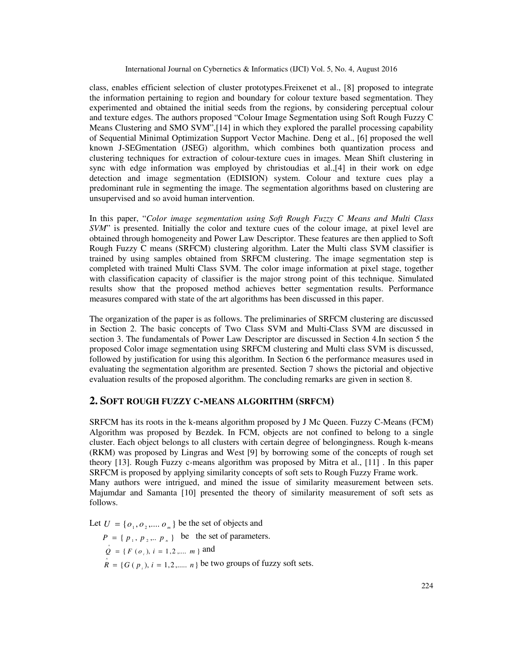class, enables efficient selection of cluster prototypes.Freixenet et al., [8] proposed to integrate the information pertaining to region and boundary for colour texture based segmentation. They experimented and obtained the initial seeds from the regions, by considering perceptual colour and texture edges. The authors proposed "Colour Image Segmentation using Soft Rough Fuzzy C Means Clustering and SMO SVM",[14] in which they explored the parallel processing capability of Sequential Minimal Optimization Support Vector Machine. Deng et al., [6] proposed the well known J-SEGmentation (JSEG) algorithm, which combines both quantization process and clustering techniques for extraction of colour-texture cues in images. Mean Shift clustering in sync with edge information was employed by christoudias et al.,[4] in their work on edge detection and image segmentation (EDISION) system. Colour and texture cues play a predominant rule in segmenting the image. The segmentation algorithms based on clustering are unsupervised and so avoid human intervention.

In this paper, "*Color image segmentation using Soft Rough Fuzzy C Means and Multi Class SVM*" is presented. Initially the color and texture cues of the colour image, at pixel level are obtained through homogeneity and Power Law Descriptor. These features are then applied to Soft Rough Fuzzy C means (SRFCM) clustering algorithm. Later the Multi class SVM classifier is trained by using samples obtained from SRFCM clustering. The image segmentation step is completed with trained Multi Class SVM. The color image information at pixel stage, together with classification capacity of classifier is the major strong point of this technique. Simulated results show that the proposed method achieves better segmentation results. Performance measures compared with state of the art algorithms has been discussed in this paper.

The organization of the paper is as follows. The preliminaries of SRFCM clustering are discussed in Section 2. The basic concepts of Two Class SVM and Multi-Class SVM are discussed in section 3. The fundamentals of Power Law Descriptor are discussed in Section 4.In section 5 the proposed Color image segmentation using SRFCM clustering and Multi class SVM is discussed, followed by justification for using this algorithm. In Section 6 the performance measures used in evaluating the segmentation algorithm are presented. Section 7 shows the pictorial and objective evaluation results of the proposed algorithm. The concluding remarks are given in section 8.

#### **2. SOFT ROUGH FUZZY C-MEANS ALGORITHM (SRFCM)**

SRFCM has its roots in the k-means algorithm proposed by J Mc Queen. Fuzzy C-Means (FCM) Algorithm was proposed by Bezdek. In FCM, objects are not confined to belong to a single cluster. Each object belongs to all clusters with certain degree of belongingness. Rough k-means (RKM) was proposed by Lingras and West [9] by borrowing some of the concepts of rough set theory [13]. Rough Fuzzy c-means algorithm was proposed by Mitra et al., [11] . In this paper SRFCM is proposed by applying similarity concepts of soft sets to Rough Fuzzy Frame work. Many authors were intrigued, and mined the issue of similarity measurement between sets. Majumdar and Samanta [10] presented the theory of similarity measurement of soft sets as follows.

Let  $U = \{o_1, o_2, \dots, o_n\}$  be the set of objects and

 $P = \{ p_1, p_2, \dots, p_n \}$  be the set of parameters.  $\hat{Q} = \{F(o_i), i = 1, 2, \dots, m\}$  and  $\hat{R} = \{ G(p_i), i = 1, 2, \dots, n \}$  be two groups of fuzzy soft sets.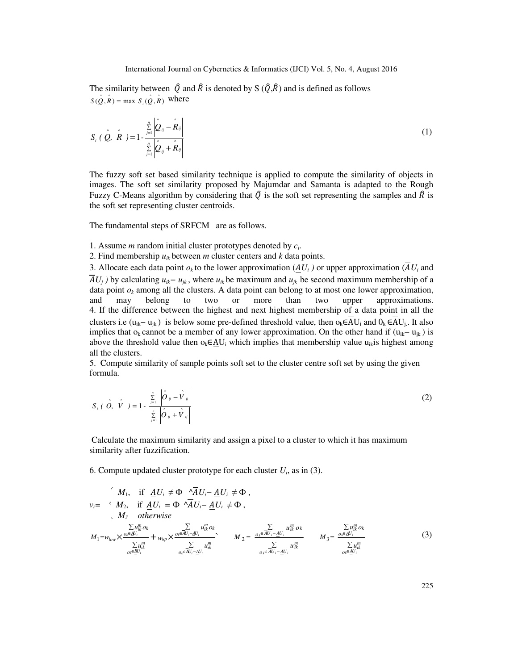The similarity between  $\hat{Q}$  and  $\hat{R}$  is denoted by S  $(\hat{Q}, \hat{R})$  and is defined as follows  $S(\hat{Q}, \hat{R}) = \max S_i(\hat{Q}, \hat{R})$  where

$$
S_i \left( \hat{Q}, \hat{R} \right) = 1 - \frac{\sum\limits_{j=1}^{n} \left| \hat{Q}_{ij} - \hat{R}_{ij} \right|}{\sum\limits_{j=1}^{n} \left| \hat{Q}_{ij} + \hat{R}_{ij} \right|}
$$
(1)

The fuzzy soft set based similarity technique is applied to compute the similarity of objects in images. The soft set similarity proposed by Majumdar and Samanta is adapted to the Rough Fuzzy C-Means algorithm by considering that  $\hat{Q}$  is the soft set representing the samples and  $\hat{R}$  is the soft set representing cluster centroids.

The fundamental steps of SRFCM are as follows.

1. Assume *m* random initial cluster prototypes denoted by *c<sup>i</sup>* .

2. Find membership  $u_{ik}$  between *m* cluster centers and *k* data points.

3. Allocate each data point  $o_k$  to the lower approximation  $(\underline{A}U_i)$  or upper approximation  $(AU_i)$  and *AU*<sup>*j*</sup>) by calculating *u*<sub>*ik*</sub>*− u*<sub>*jk*</sub>, where *u*<sub>*ik*</sub> be maximum and *u*<sub>*jk*</sub> be second maximum membership of a data point  $o_k$  among all the clusters. A data point can belong to at most one lower approximation, and may belong to two or more than two upper approximations. 4. If the difference between the highest and next highest membership of a data point in all the clusters i.e ( $u_{ik} - u_{jk}$ ) is below some pre-defined threshold value, then  $o_k \in AU_i$  and  $0_k \in AU_j$ . It also implies that  $o_k$  cannot be a member of any lower approximation. On the other hand if  $(u_{ik}-u_{ik})$  is above the threshold value then  $o_k \in \underline{AU}$  which implies that membership value  $u_{ik}$  is highest among all the clusters.

5. Compute similarity of sample points soft set to the cluster centre soft set by using the given formula.

$$
S_i \left( \hat{O}, \hat{V} \right) = 1 - \frac{\sum\limits_{j=1}^n \left| \hat{O}_{ij} - \hat{V}_{ij} \right|}{\sum\limits_{j=1}^n \left| \hat{O}_{ij} + \hat{V}_{ij} \right|}
$$
 (2)

 Calculate the maximum similarity and assign a pixel to a cluster to which it has maximum similarity after fuzzification.

6. Compute updated cluster prototype for each cluster  $U_i$ , as in (3).

$$
v_i = \begin{cases} M_1, & \text{if } \underline{A}U_i \neq \Phi \land \overline{A}U_i - \underline{A}U_i \neq \Phi, \\ M_2, & \text{if } \underline{A}U_i = \Phi \land \overline{A}U_i - \underline{A}U_i \neq \Phi, \\ M_3 & \text{otherwise} \end{cases}
$$
  

$$
M_1 = w_{low} \times \frac{\sum\limits_{\substack{\alpha \in \Delta U_i \\ \alpha \in \Delta U_i}} u_{ik}^m \alpha_k}{\sum\limits_{o_k \in \Delta U_i - \underline{A}U_i} u_{ik}^m \alpha_k} \times \frac{\sum\limits_{\substack{\alpha \in \Delta U_i - \underline{A}U_i \\ \alpha_k \in \Delta U_i - \underline{A}U_i}} u_{ik}^m \alpha_k}{\sum\limits_{o_k \in \Delta U_i - \underline{A}U_i} u_{ik}^m} \times M_2 = \frac{\sum\limits_{\substack{\alpha \in \Delta U_i - \underline{A}U_i \\ \alpha_k \in \Delta U_i - \underline{A}U_i}} u_{ik}^m}{\sum\limits_{o_k \in \Delta U_i - \underline{A}U_i} u_{ik}^m} \times M_3 = \frac{\sum\limits_{\substack{\alpha \in \Delta U_i \\ \alpha \in \Delta U_i}} u_{ik}^m}{\sum\limits_{o_k \in \Delta U_i}} (3)
$$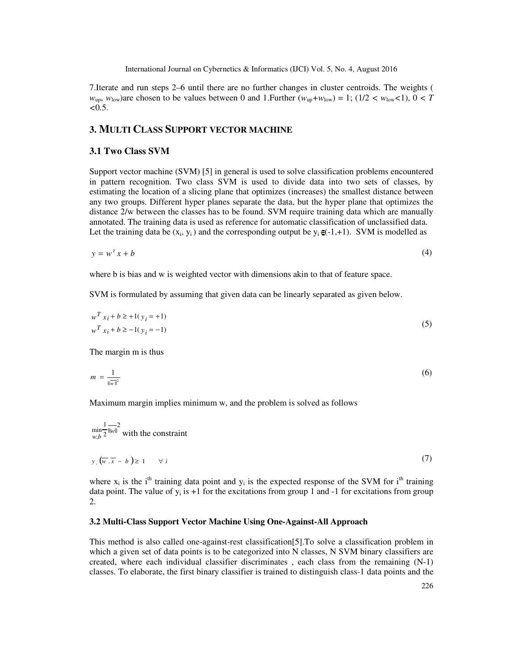7.Iterate and run steps 2–6 until there are no further changes in cluster centroids. The weights (  $w_{\text{up}}$ ,  $w_{\text{low}}$ )are chosen to be values between 0 and 1. Further  $(w_{\text{up}}+w_{\text{low}}) = 1$ ; (1/2  $\lt w_{\text{low}}$  $lt 1$ ),  $0 \lt T$  $< 0.5$ .

## **3. MULTI CLASS SUPPORT VECTOR MACHINE**

#### **3.1 Two Class SVM**

Support vector machine (SVM) [5] in general is used to solve classification problems encountered in pattern recognition. Two class SVM is used to divide data into two sets of classes, by estimating the location of a slicing plane that optimizes (increases) the smallest distance between any two groups. Different hyper planes separate the data, but the hyper plane that optimizes the distance 2/w between the classes has to be found. SVM require training data which are manually annotated. The training data is used as reference for automatic classification of unclassified data. Let the training data be  $(x_i, y_i)$  and the corresponding output be  $y_i \in (-1, +1)$ . SVM is modelled as

$$
y = w^T x + b \tag{4}
$$

where b is bias and w is weighted vector with dimensions akin to that of feature space.

SVM is formulated by assuming that given data can be linearly separated as given below.

$$
w^T x_i + b \ge 1(y_i = +1)
$$
  
\n
$$
w^T x_i + b \ge -1(y_i = -1)
$$
\n(5)

The margin m is thus

$$
m = \frac{1}{\|\mathbf{w}\|^2} \tag{6}
$$

Maximum margin implies minimum w, and the problem is solved as follows

$$
\min_{w,b} \frac{1}{2} \overline{\|w\|}^2
$$
 with the constraint  

$$
y_i \left(\overline{w} \cdot \overline{x} - b\right) \ge 1 \qquad \forall i
$$
 (7)

where  $x_i$  is the i<sup>th</sup> training data point and  $y_i$  is the expected response of the SVM for i<sup>th</sup> training data point. The value of  $y_i$  is  $+1$  for the excitations from group 1 and  $-1$  for excitations from group 2.

#### **3.2 Multi-Class Support Vector Machine Using One-Against-All Approach**

This method is also called one-against-rest classification[5].To solve a classification problem in which a given set of data points is to be categorized into N classes, N SVM binary classifiers are created, where each individual classifier discriminates , each class from the remaining (N-1) classes. To elaborate, the first binary classifier is trained to distinguish class-1 data points and the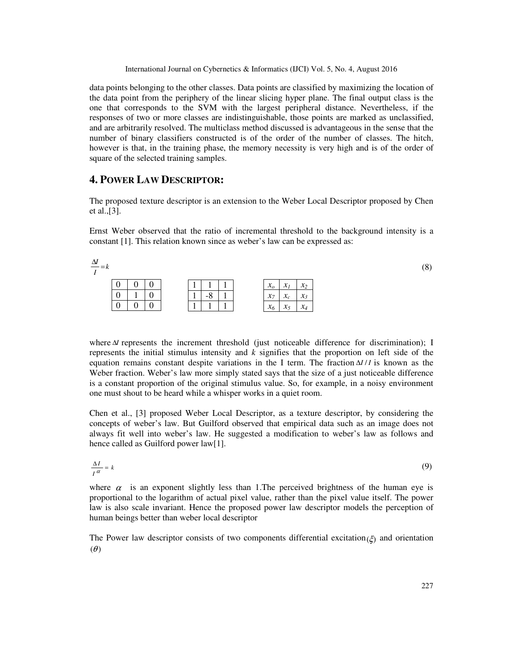data points belonging to the other classes. Data points are classified by maximizing the location of the data point from the periphery of the linear slicing hyper plane. The final output class is the one that corresponds to the SVM with the largest peripheral distance. Nevertheless, if the responses of two or more classes are indistinguishable, those points are marked as unclassified, and are arbitrarily resolved. The multiclass method discussed is advantageous in the sense that the number of binary classifiers constructed is of the order of the number of classes. The hitch, however is that, in the training phase, the memory necessity is very high and is of the order of square of the selected training samples.

## **4. POWER LAW DESCRIPTOR:**

The proposed texture descriptor is an extension to the Weber Local Descriptor proposed by Chen et al.,[3].

Ernst Weber observed that the ratio of incremental threshold to the background intensity is a constant [1]. This relation known since as weber's law can be expressed as:

| $\frac{\Delta l}{l} = k$ |   |  |  |          |  |                                 |                            |                 | (8) |
|--------------------------|---|--|--|----------|--|---------------------------------|----------------------------|-----------------|-----|
|                          | ν |  |  |          |  | $\mathbf{v}$<br>$\mathcal{N}_O$ | <b>BA</b><br>$\mathcal{N}$ | $x_2$           |     |
|                          | ν |  |  | $\Omega$ |  | $\chi_7$                        | $\mathbf{r}$               | $\mathcal{X}_3$ |     |
|                          | ν |  |  |          |  | $\mathbf{v}$<br>$\lambda_0$     | $\sim$<br>л:               | $x_4$           |     |

where ∆*I* represents the increment threshold (just noticeable difference for discrimination); I represents the initial stimulus intensity and *k* signifies that the proportion on left side of the equation remains constant despite variations in the I term. The fraction ∆*III* is known as the Weber fraction. Weber's law more simply stated says that the size of a just noticeable difference is a constant proportion of the original stimulus value. So, for example, in a noisy environment one must shout to be heard while a whisper works in a quiet room.

Chen et al., [3] proposed Weber Local Descriptor, as a texture descriptor, by considering the concepts of weber's law. But Guilford observed that empirical data such as an image does not always fit well into weber's law. He suggested a modification to weber's law as follows and hence called as Guilford power law[1].

$$
\frac{\Delta I}{I^{\alpha}} = k \tag{9}
$$

where  $\alpha$  is an exponent slightly less than 1. The perceived brightness of the human eye is proportional to the logarithm of actual pixel value, rather than the pixel value itself. The power law is also scale invariant. Hence the proposed power law descriptor models the perception of human beings better than weber local descriptor

The Power law descriptor consists of two components differential excitation( $\xi$ ) and orientation  $(\theta)$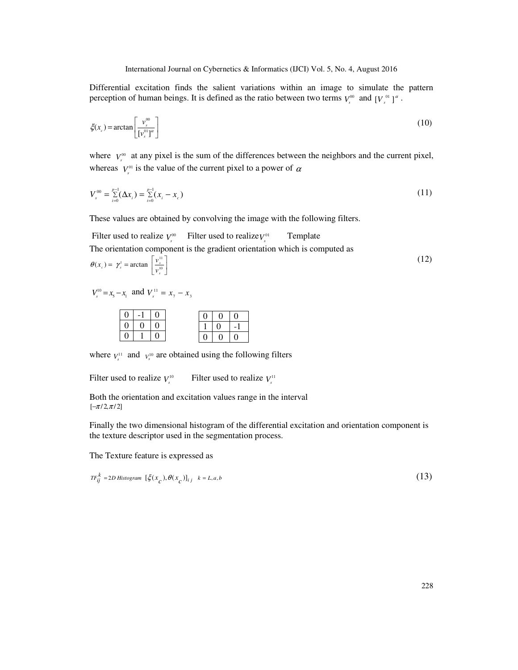Differential excitation finds the salient variations within an image to simulate the pattern perception of human beings. It is defined as the ratio between two terms  $V_s^{\omega}$  and  $[V_s^{\omega}]^{\alpha}$ .

$$
\xi(x_c) = \arctan\left[\frac{v_s^{\text{00}}}{[v_s^{\text{0}}]^a}\right] \tag{10}
$$

where  $V_s^{\infty}$  at any pixel is the sum of the differences between the neighbors and the current pixel, whereas  $V_s^{\text{o}1}$  is the value of the current pixel to a power of  $\alpha$ 

$$
V_s^{00} = \sum_{i=0}^{p-1} (\Delta x_i) = \sum_{i=0}^{p-1} (x_i - x_c)
$$
 (11)

These values are obtained by convolving the image with the following filters.

Filter used to realize  $V_s^{00}$  Filter used to realize  $V_s^{01}$ Template The orientation component is the gradient orientation which is computed as  $\overline{\phantom{a}}$ ٦ l  $(x_c) = \gamma_s^1 = \arctan \left[ \frac{v_s^{11}}{v_s^{10}} \right]$  $\gamma_s$  =  $\gamma_s$ <sup>1</sup> = arctan  $\frac{\gamma_s}{v_s^1}$  $\theta(x_c) = \gamma_s^1 = \arctan \left| \frac{v}{v} \right|$ (12)

$$
V_s^{10} = x_s - x_1
$$
 and  $V_s^{11} = x_7 - x_3$ 

|   | $\overline{0}$ |  | $\Omega$ | 0 |
|---|----------------|--|----------|---|
| ∩ |                |  |          |   |
|   |                |  | 0        | 0 |

where  $V_s^{11}$  and  $V_s^{10}$  are obtained using the following filters

Filter used to realize  $V_s^{10}$  Filter used to realize  $V_s^{11}$ 

Both the orientation and excitation values range in the interval  $[-\pi/2,\pi/2]$ 

Finally the two dimensional histogram of the differential excitation and orientation component is the texture descriptor used in the segmentation process.

The Texture feature is expressed as

$$
TF_{ij}^k = 2D \text{ Histogram } [\xi(x_c), \theta(x_c)]_{ij} \quad k = L, a, b
$$
\n
$$
(13)
$$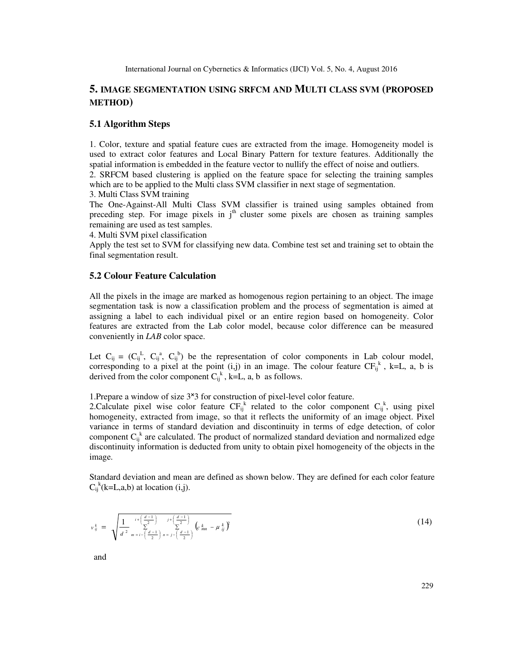# **5. IMAGE SEGMENTATION USING SRFCM AND MULTI CLASS SVM (PROPOSED METHOD)**

#### **5.1 Algorithm Steps**

1. Color, texture and spatial feature cues are extracted from the image. Homogeneity model is used to extract color features and Local Binary Pattern for texture features. Additionally the spatial information is embedded in the feature vector to nullify the effect of noise and outliers.

2. SRFCM based clustering is applied on the feature space for selecting the training samples which are to be applied to the Multi class SVM classifier in next stage of segmentation. 3. Multi Class SVM training

The One-Against-All Multi Class SVM classifier is trained using samples obtained from preceding step. For image pixels in j<sup>th</sup> cluster some pixels are chosen as training samples remaining are used as test samples.

4. Multi SVM pixel classification

Apply the test set to SVM for classifying new data. Combine test set and training set to obtain the final segmentation result.

#### **5.2 Colour Feature Calculation**

All the pixels in the image are marked as homogenous region pertaining to an object. The image segmentation task is now a classification problem and the process of segmentation is aimed at assigning a label to each individual pixel or an entire region based on homogeneity. Color features are extracted from the Lab color model, because color difference can be measured conveniently in *LAB* color space.

Let  $C_{ij} = (C_{ij}^L, C_{ij}^a, C_{ij}^b)$  be the representation of color components in Lab colour model, corresponding to a pixel at the point (i,j) in an image. The colour feature  $CF_{ij}^k$ , k=L, a, b is derived from the color component  $C_{ij}^{k}$ , k=L, a, b as follows.

1. Prepare a window of size  $3\times 3$  for construction of pixel-level color feature.

2. Calculate pixel wise color feature  $CF_{ij}^k$  related to the color component  $C_{ij}^k$ , using pixel homogeneity, extracted from image, so that it reflects the uniformity of an image object. Pixel variance in terms of standard deviation and discontinuity in terms of edge detection, of color component  $C_{ij}^k$  are calculated. The product of normalized standard deviation and normalized edge discontinuity information is deducted from unity to obtain pixel homogeneity of the objects in the image.

Standard deviation and mean are defined as shown below. They are defined for each color feature  $C_{ij}^{k}$ (k=L,a,b) at location (i,j).

$$
v_{ij}^k = \sqrt{\frac{1}{d^2} \sum_{m=i - \left(\frac{d-1}{2}\right)j + \left(\frac{d-1}{2}\right) \sum_{n=1}^{i} \left(c_{mn}^k - \mu_{ij}^k\right)^2}
$$
(14)

and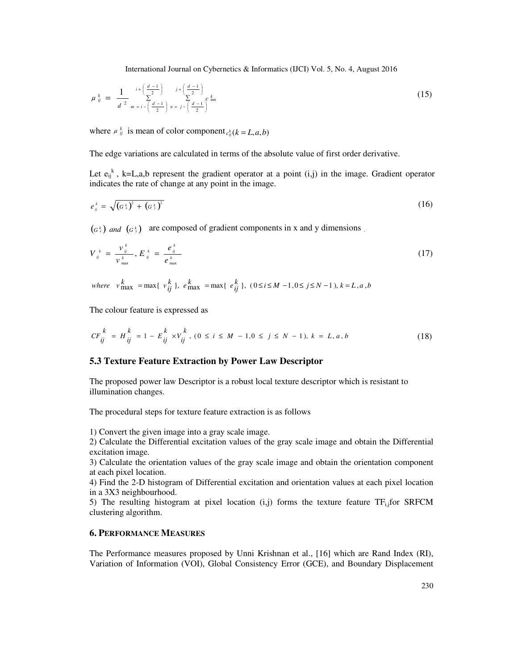$$
\mu_{ij}^k = \frac{1}{d^2} \sum_{m=i-\left(\frac{d-1}{2}\right)}^{i+\left(\frac{d-1}{2}\right)} \sum_{n=j-\left(\frac{d-1}{2}\right)}^{j+\left(\frac{d-1}{2}\right)} c_{mn}^k
$$
\n(15)

where  $\mu_{ij}^k$  is mean of color component  $c_{ij}^k$  ( $k = L, a, b$ )

The edge variations are calculated in terms of the absolute value of first order derivative.

Let  $e_{ij}^k$ , k=L,a,b represent the gradient operator at a point (i,j) in the image. Gradient operator indicates the rate of change at any point in the image.

$$
e_{ij}^{\,k} = \sqrt{(a_{\,k}^{\,k})^2 + (a_{\,j}^{\,k})^2}
$$
\n(16)

 $(G<sup>k</sup><sub>x</sub>)$  *and*  $(G<sup>k</sup><sub>y</sub>)$  are composed of gradient components in x and y dimensions .

$$
V_{ij}^{\ k} = \frac{v_{ij}^{\ k}}{v_{\max}^{\ k}}, E_{ij}^{\ k} = \frac{e_{ij}^{\ k}}{e_{\max}^{\ k}}
$$
 (17)

where 
$$
v_{\text{max}}^k = \max\{v_{ij}^k\}
$$
,  $e_{\text{max}}^k = \max\{e_{ij}^k\}$ ,  $(0 \le i \le M - 1, 0 \le j \le N - 1)$ ,  $k = L, a, b$ 

The colour feature is expressed as

$$
CF_{ij}^k = H_{ij}^k = 1 - E_{ij}^k \times V_{ij}^k, (0 \le i \le M - 1, 0 \le j \le N - 1), k = L, a, b
$$
\n(18)

#### **5.3 Texture Feature Extraction by Power Law Descriptor**

The proposed power law Descriptor is a robust local texture descriptor which is resistant to illumination changes.

The procedural steps for texture feature extraction is as follows

1) Convert the given image into a gray scale image.

2) Calculate the Differential excitation values of the gray scale image and obtain the Differential excitation image.

3) Calculate the orientation values of the gray scale image and obtain the orientation component at each pixel location.

4) Find the 2-D histogram of Differential excitation and orientation values at each pixel location in a 3X3 neighbourhood.

5) The resulting histogram at pixel location  $(i, j)$  forms the texture feature TF<sub>i,j</sub>for SRFCM clustering algorithm.

#### **6. PERFORMANCE MEASURES**

The Performance measures proposed by Unni Krishnan et al., [16] which are Rand Index (RI), Variation of Information (VOI), Global Consistency Error (GCE), and Boundary Displacement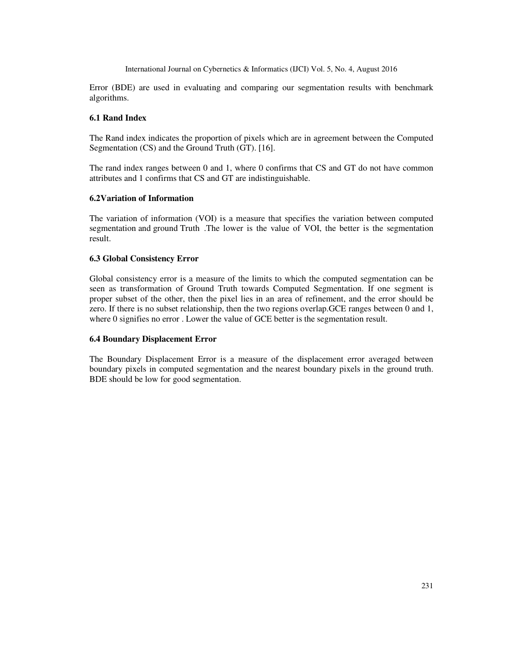Error (BDE) are used in evaluating and comparing our segmentation results with benchmark algorithms.

#### **6.1 Rand Index**

The Rand index indicates the proportion of pixels which are in agreement between the Computed Segmentation (CS) and the Ground Truth (GT). [16].

The rand index ranges between 0 and 1, where 0 confirms that CS and GT do not have common attributes and 1 confirms that CS and GT are indistinguishable.

#### **6.2Variation of Information**

The variation of information (VOI) is a measure that specifies the variation between computed segmentation and ground Truth .The lower is the value of VOI, the better is the segmentation result.

#### **6.3 Global Consistency Error**

Global consistency error is a measure of the limits to which the computed segmentation can be seen as transformation of Ground Truth towards Computed Segmentation. If one segment is proper subset of the other, then the pixel lies in an area of refinement, and the error should be zero. If there is no subset relationship, then the two regions overlap.GCE ranges between 0 and 1, where 0 signifies no error. Lower the value of GCE better is the segmentation result.

#### **6.4 Boundary Displacement Error**

The Boundary Displacement Error is a measure of the displacement error averaged between boundary pixels in computed segmentation and the nearest boundary pixels in the ground truth. BDE should be low for good segmentation.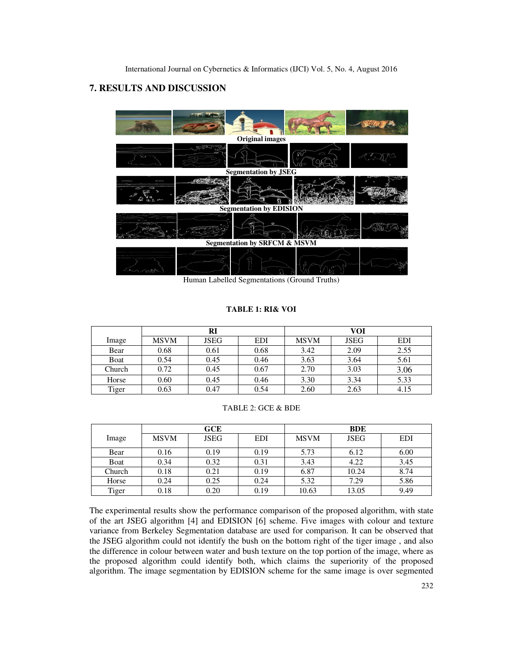# **7. RESULTS AND DISCUSSION**



Human Labelled Segmentations (Ground Truths)

### **TABLE 1: RI& VOI**

|        |             | RI          |            | VOI         |             |            |  |
|--------|-------------|-------------|------------|-------------|-------------|------------|--|
| Image  | <b>MSVM</b> | <b>JSEG</b> | <b>EDI</b> | <b>MSVM</b> | <b>JSEG</b> | <b>EDI</b> |  |
| Bear   | 0.68        | 0.61        | 0.68       | 3.42        | 2.09        | 2.55       |  |
| Boat   | 0.54        | 0.45        | 0.46       | 3.63        | 3.64        | 5.61       |  |
| Church | 0.72        | 0.45        | 0.67       | 2.70        | 3.03        | 3.06       |  |
| Horse  | 0.60        | 0.45        | 0.46       | 3.30        | 3.34        | 5.33       |  |
| Tiger  | 0.63        | 0.47        | 0.54       | 2.60        | 2.63        | 4.15       |  |

#### TABLE 2: GCE & BDE

|        |             | GCE         |            | <b>BDE</b>  |             |      |  |
|--------|-------------|-------------|------------|-------------|-------------|------|--|
| Image  | <b>MSVM</b> | <b>JSEG</b> | <b>EDI</b> | <b>MSVM</b> | <b>JSEG</b> | EDI  |  |
| Bear   | 0.16        | 0.19        | 0.19       | 5.73        | 6.12        | 6.00 |  |
| Boat   | 0.34        | 0.32        | 0.31       | 3.43        | 4.22        | 3.45 |  |
| Church | 0.18        | 0.21        | 0.19       | 6.87        | 10.24       | 8.74 |  |
| Horse  | 0.24        | 0.25        | 0.24       | 5.32        | 7.29        | 5.86 |  |
| Tiger  | 0.18        | 0.20        | 0.19       | 10.63       | 13.05       | 9.49 |  |

The experimental results show the performance comparison of the proposed algorithm, with state of the art JSEG algorithm [4] and EDISION [6] scheme. Five images with colour and texture variance from Berkeley Segmentation database are used for comparison. It can be observed that the JSEG algorithm could not identify the bush on the bottom right of the tiger image , and also the difference in colour between water and bush texture on the top portion of the image, where as the proposed algorithm could identify both, which claims the superiority of the proposed algorithm. The image segmentation by EDISION scheme for the same image is over segmented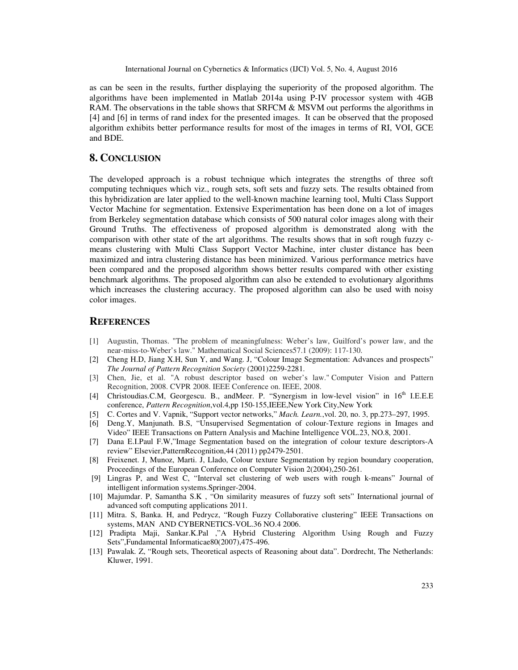as can be seen in the results, further displaying the superiority of the proposed algorithm. The algorithms have been implemented in Matlab 2014a using P-IV processor system with 4GB RAM. The observations in the table shows that SRFCM  $& MSVM$  out performs the algorithms in [4] and [6] in terms of rand index for the presented images. It can be observed that the proposed algorithm exhibits better performance results for most of the images in terms of RI, VOI, GCE and BDE.

## **8. CONCLUSION**

The developed approach is a robust technique which integrates the strengths of three soft computing techniques which viz., rough sets, soft sets and fuzzy sets. The results obtained from this hybridization are later applied to the well-known machine learning tool, Multi Class Support Vector Machine for segmentation. Extensive Experimentation has been done on a lot of images from Berkeley segmentation database which consists of 500 natural color images along with their Ground Truths. The effectiveness of proposed algorithm is demonstrated along with the comparison with other state of the art algorithms. The results shows that in soft rough fuzzy cmeans clustering with Multi Class Support Vector Machine, inter cluster distance has been maximized and intra clustering distance has been minimized. Various performance metrics have been compared and the proposed algorithm shows better results compared with other existing benchmark algorithms. The proposed algorithm can also be extended to evolutionary algorithms which increases the clustering accuracy. The proposed algorithm can also be used with noisy color images.

#### **REFERENCES**

- [1] Augustin, Thomas. "The problem of meaningfulness: Weber's law, Guilford's power law, and the near-miss-to-Weber's law." Mathematical Social Sciences57.1 (2009): 117-130.
- [2] Cheng H.D, Jiang X.H, Sun Y, and Wang. J, "Colour Image Segmentation: Advances and prospects" *The Journal of Pattern Recognition Society* (2001)2259-2281.
- [3] Chen, Jie, et al. "A robust descriptor based on weber's law." Computer Vision and Pattern Recognition, 2008. CVPR 2008. IEEE Conference on. IEEE, 2008.
- [4] Christoudias.C.M, Georgescu. B., andMeer. P. "Synergism in low-level vision" in 16<sup>th</sup> I.E.E.E conference, *Pattern Recognition*,vol.4,pp 150-155,IEEE,New York City,New York
- [5] C. Cortes and V. Vapnik, "Support vector networks," *Mach. Learn.*,vol. 20, no. 3, pp.273–297, 1995.
- [6] Deng.Y, Manjunath. B.S, "Unsupervised Segmentation of colour-Texture regions in Images and Video" IEEE Transactions on Pattern Analysis and Machine Intelligence VOL.23, NO.8, 2001.
- [7] Dana E.I.Paul F.W,"Image Segmentation based on the integration of colour texture descriptors-A review" Elsevier,PatternRecognition,44 (2011) pp2479-2501.
- [8] Freixenet. J, Munoz, Marti. J, Llado, Colour texture Segmentation by region boundary cooperation, Proceedings of the European Conference on Computer Vision 2(2004),250-261.
- [9] Lingras P, and West C, "Interval set clustering of web users with rough k-means" Journal of intelligent information systems.Springer-2004.
- [10] Majumdar. P, Samantha S.K , "On similarity measures of fuzzy soft sets" International journal of advanced soft computing applications 2011.
- [11] Mitra. S, Banka. H, and Pedrycz, "Rough Fuzzy Collaborative clustering" IEEE Transactions on systems, MAN AND CYBERNETICS-VOL.36 NO.4 2006.
- [12] Pradipta Maji, Sankar.K.Pal ,"A Hybrid Clustering Algorithm Using Rough and Fuzzy Sets",Fundamental Informaticae80(2007),475-496.
- [13] Pawalak. Z, "Rough sets, Theoretical aspects of Reasoning about data". Dordrecht, The Netherlands: Kluwer, 1991.